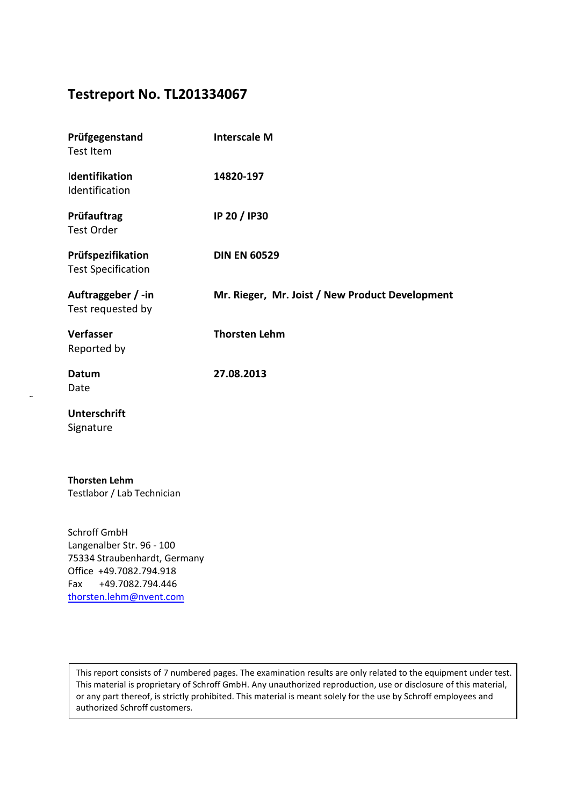# **Testreport No. TL201334067**

| Prüfgegenstand<br><b>Test Item</b>             | <b>Interscale M</b>                             |
|------------------------------------------------|-------------------------------------------------|
| Identifikation<br>Identification               | 14820-197                                       |
| Prüfauftrag<br><b>Test Order</b>               | IP 20 / IP30                                    |
| Prüfspezifikation<br><b>Test Specification</b> | <b>DIN EN 60529</b>                             |
| Auftraggeber / -in<br>Test requested by        | Mr. Rieger, Mr. Joist / New Product Development |
| Verfasser<br>Reported by                       | <b>Thorsten Lehm</b>                            |
| Datum<br>Date                                  | 27.08.2013                                      |
| <b>Unterschrift</b><br>Signature               |                                                 |
| The constant that                              |                                                 |

**Thorsten Lehm** Testlabor / Lab Technician

Schroff GmbH Langenalber Str. 96 - 100 75334 Straubenhardt, Germany Office +49.7082.794.918 Fax +49.7082.794.446 [thorsten.lehm@](mailto:thorsten.lehm@pentair.com)nvent.com

This report consists of 7 numbered pages. The examination results are only related to the equipment under test. This material is proprietary of Schroff GmbH. Any unauthorized reproduction, use or disclosure of this material, or any part thereof, is strictly prohibited. This material is meant solely for the use by Schroff employees and authorized Schroff customers.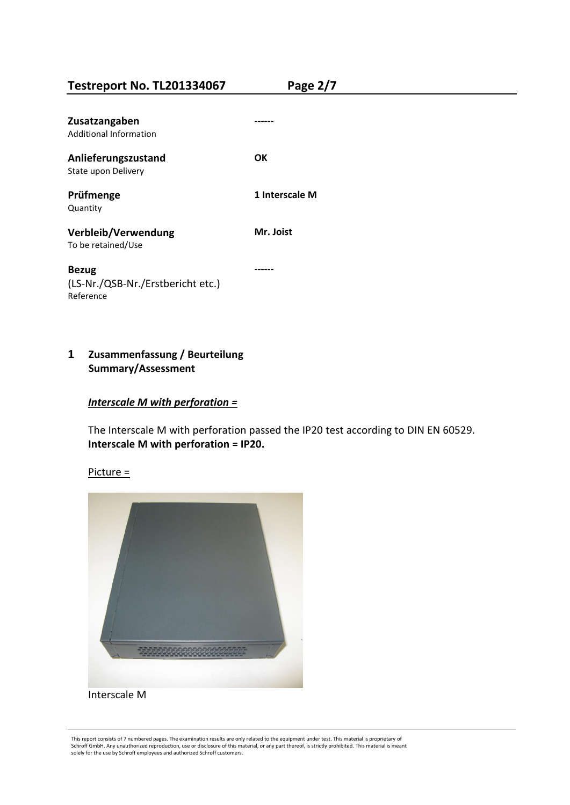**Testreport No. TL201334067 Page 2/7**

| Zusatzangaben<br>Additional Information                 |                |
|---------------------------------------------------------|----------------|
| Anlieferungszustand<br>State upon Delivery              | OΚ             |
| Prüfmenge<br>Quantity                                   | 1 Interscale M |
| Verbleib/Verwendung<br>To be retained/Use               | Mr. Joist      |
| Bezug<br>(LS-Nr./QSB-Nr./Erstbericht etc.)<br>Reference |                |

**1 Zusammenfassung / Beurteilung Summary/Assessment**

#### *Interscale M with perforation =*

The Interscale M with perforation passed the IP20 test according to DIN EN 60529. **Interscale M with perforation = IP20.** 

Picture =



This report consists of 7 numbered pages. The examination results are only related to the equipment under test. This material is proprietary of Schroff GmbH. Any unauthorized reproduction, use or disclosure of this material, or any part thereof, is strictly prohibited. This material is meant solely for the use by Schroff employees and authorized Schroff customers.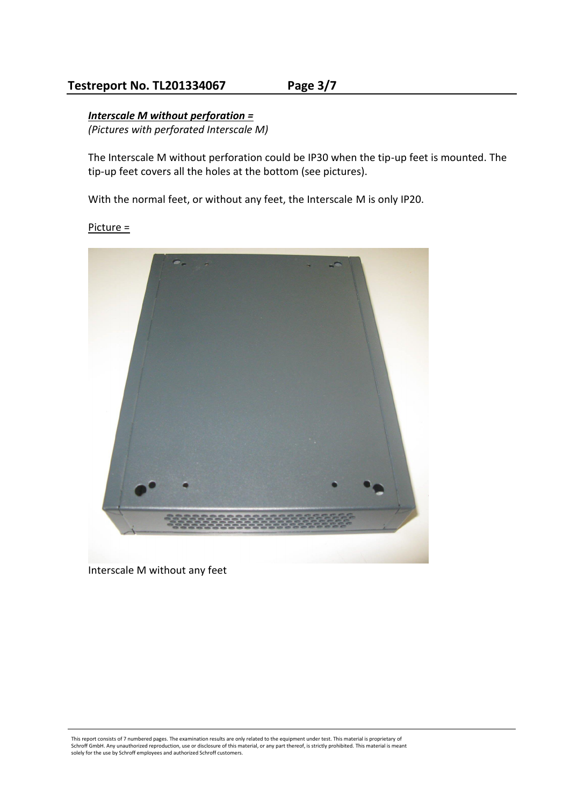# **Testreport No. TL201334067 Page 3/7**

# *Interscale M without perforation =*

*(Pictures with perforated Interscale M)* 

The Interscale M without perforation could be IP30 when the tip-up feet is mounted. The tip-up feet covers all the holes at the bottom (see pictures).

With the normal feet, or without any feet, the Interscale M is only IP20.

Picture =



Interscale M without any feet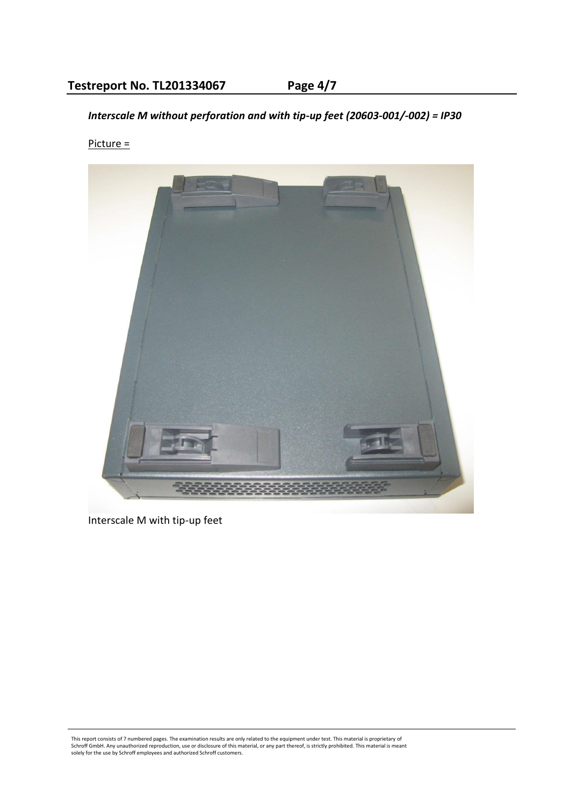*Interscale M without perforation and with tip-up feet (20603-001/-002) = IP30* 

# Picture =



Interscale M with tip-up feet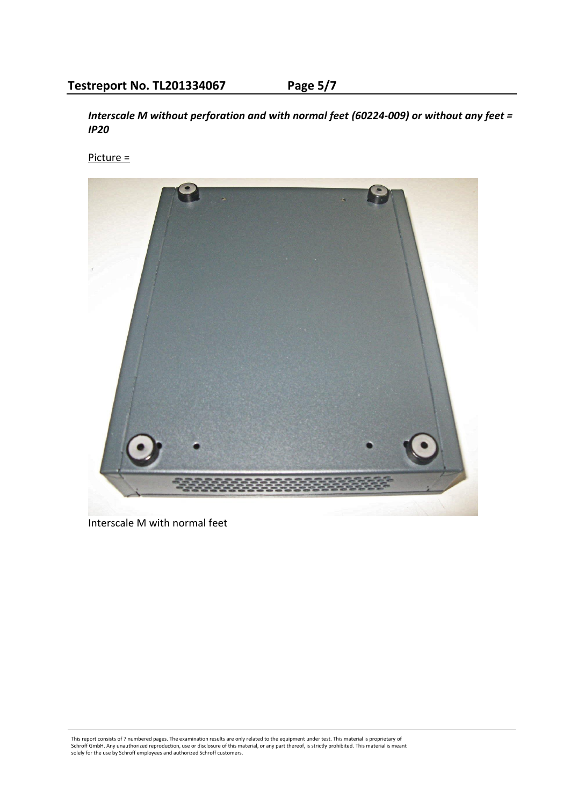*Interscale M without perforation and with normal feet (60224-009) or without any feet = IP20* 

Picture =



Interscale M with normal feet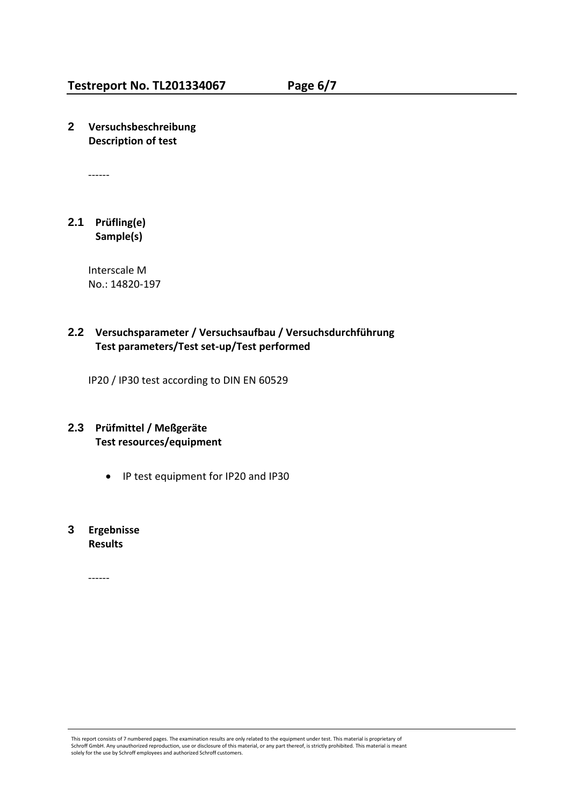**2 Versuchsbeschreibung Description of test**

------

#### **2.1 Prüfling(e) Sample(s)**

Interscale M No.: 14820-197

### **2.2 Versuchsparameter / Versuchsaufbau / Versuchsdurchführung Test parameters/Test set-up/Test performed**

IP20 / IP30 test according to DIN EN 60529

### **2.3 Prüfmittel / Meßgeräte Test resources/equipment**

IP test equipment for IP20 and IP30

## **3 Ergebnisse Results**

------